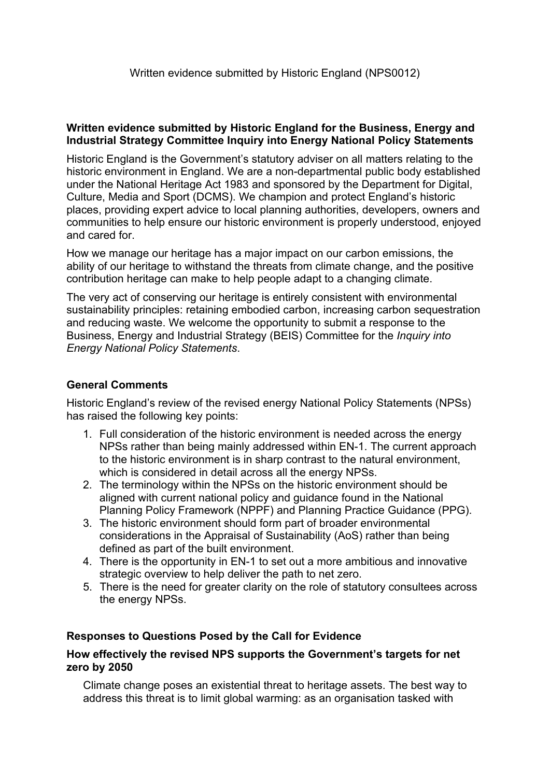### **Written evidence submitted by Historic England for the Business, Energy and Industrial Strategy Committee Inquiry into Energy National Policy Statements**

Historic England is the Government's statutory adviser on all matters relating to the historic environment in England. We are a non-departmental public body established under the National Heritage Act 1983 and sponsored by the Department for Digital, Culture, Media and Sport (DCMS). We champion and protect England's historic places, providing expert advice to local planning authorities, developers, owners and communities to help ensure our historic environment is properly understood, enjoyed and cared for.

How we manage our heritage has a major impact on our carbon emissions, the ability of our heritage to withstand the threats from climate change, and the positive contribution heritage can make to help people adapt to a changing climate.

The very act of conserving our heritage is entirely consistent with environmental sustainability principles: retaining embodied carbon, increasing carbon sequestration and reducing waste. We welcome the opportunity to submit a response to the Business, Energy and Industrial Strategy (BEIS) Committee for the *Inquiry into Energy National Policy Statements*.

# **General Comments**

Historic England's review of the revised energy National Policy Statements (NPSs) has raised the following key points:

- 1. Full consideration of the historic environment is needed across the energy NPSs rather than being mainly addressed within EN-1. The current approach to the historic environment is in sharp contrast to the natural environment, which is considered in detail across all the energy NPSs.
- 2. The terminology within the NPSs on the historic environment should be aligned with current national policy and guidance found in the National Planning Policy Framework (NPPF) and Planning Practice Guidance (PPG).
- 3. The historic environment should form part of broader environmental considerations in the Appraisal of Sustainability (AoS) rather than being defined as part of the built environment.
- 4. There is the opportunity in EN-1 to set out a more ambitious and innovative strategic overview to help deliver the path to net zero.
- 5. There is the need for greater clarity on the role of statutory consultees across the energy NPSs.

# **Responses to Questions Posed by the Call for Evidence**

### **How effectively the revised NPS supports the Government's targets for net zero by 2050**

Climate change poses an existential threat to heritage assets. The best way to address this threat is to limit global warming: as an organisation tasked with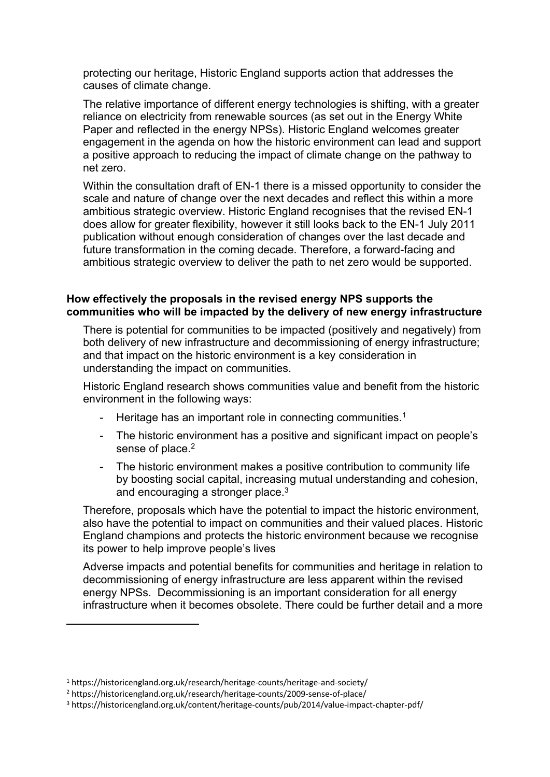protecting our heritage, Historic England supports action that addresses the causes of climate change.

The relative importance of different energy technologies is shifting, with a greater reliance on electricity from renewable sources (as set out in the Energy White Paper and reflected in the energy NPSs). Historic England welcomes greater engagement in the agenda on how the historic environment can lead and support a positive approach to reducing the impact of climate change on the pathway to net zero.

Within the consultation draft of EN-1 there is a missed opportunity to consider the scale and nature of change over the next decades and reflect this within a more ambitious strategic overview. Historic England recognises that the revised EN-1 does allow for greater flexibility, however it still looks back to the EN-1 July 2011 publication without enough consideration of changes over the last decade and future transformation in the coming decade. Therefore, a forward-facing and ambitious strategic overview to deliver the path to net zero would be supported.

### **How effectively the proposals in the revised energy NPS supports the communities who will be impacted by the delivery of new energy infrastructure**

There is potential for communities to be impacted (positively and negatively) from both delivery of new infrastructure and decommissioning of energy infrastructure; and that impact on the historic environment is a key consideration in understanding the impact on communities.

Historic England research shows communities value and benefit from the historic environment in the following ways:

- Heritage has an important role in connecting communities.<sup>1</sup>
- The historic environment has a positive and significant impact on people's sense of place.<sup>2</sup>
- The historic environment makes a positive contribution to community life by boosting social capital, increasing mutual understanding and cohesion, and encouraging a stronger place.<sup>3</sup>

Therefore, proposals which have the potential to impact the historic environment, also have the potential to impact on communities and their valued places. Historic England champions and protects the historic environment because we recognise its power to help improve people's lives

Adverse impacts and potential benefits for communities and heritage in relation to decommissioning of energy infrastructure are less apparent within the revised energy NPSs. Decommissioning is an important consideration for all energy infrastructure when it becomes obsolete. There could be further detail and a more

<sup>1</sup> https://historicengland.org.uk/research/heritage-counts/heritage-and-society/

<sup>2</sup> https://historicengland.org.uk/research/heritage-counts/2009-sense-of-place/

<sup>3</sup> https://historicengland.org.uk/content/heritage-counts/pub/2014/value-impact-chapter-pdf/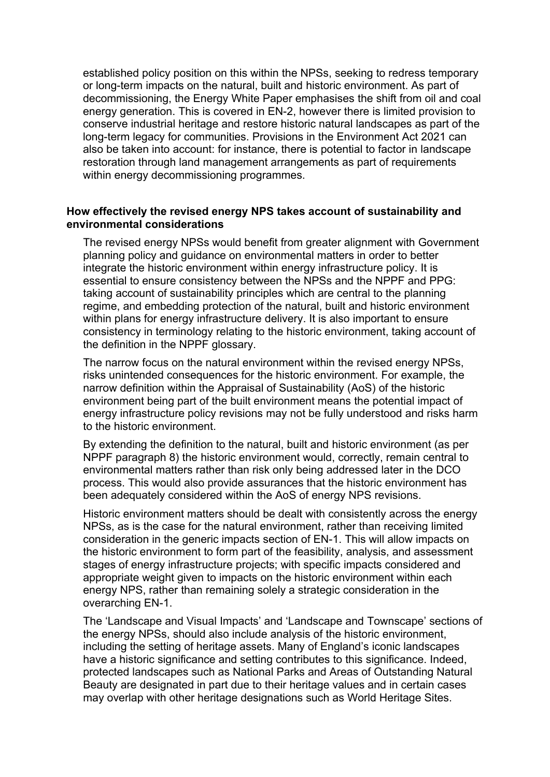established policy position on this within the NPSs, seeking to redress temporary or long-term impacts on the natural, built and historic environment. As part of decommissioning, the Energy White Paper emphasises the shift from oil and coal energy generation. This is covered in EN-2, however there is limited provision to conserve industrial heritage and restore historic natural landscapes as part of the long-term legacy for communities. Provisions in the Environment Act 2021 can also be taken into account: for instance, there is potential to factor in landscape restoration through land management arrangements as part of requirements within energy decommissioning programmes.

### **How effectively the revised energy NPS takes account of sustainability and environmental considerations**

The revised energy NPSs would benefit from greater alignment with Government planning policy and guidance on environmental matters in order to better integrate the historic environment within energy infrastructure policy. It is essential to ensure consistency between the NPSs and the NPPF and PPG: taking account of sustainability principles which are central to the planning regime, and embedding protection of the natural, built and historic environment within plans for energy infrastructure delivery. It is also important to ensure consistency in terminology relating to the historic environment, taking account of the definition in the NPPF glossary.

The narrow focus on the natural environment within the revised energy NPSs, risks unintended consequences for the historic environment. For example, the narrow definition within the Appraisal of Sustainability (AoS) of the historic environment being part of the built environment means the potential impact of energy infrastructure policy revisions may not be fully understood and risks harm to the historic environment.

By extending the definition to the natural, built and historic environment (as per NPPF paragraph 8) the historic environment would, correctly, remain central to environmental matters rather than risk only being addressed later in the DCO process. This would also provide assurances that the historic environment has been adequately considered within the AoS of energy NPS revisions.

Historic environment matters should be dealt with consistently across the energy NPSs, as is the case for the natural environment, rather than receiving limited consideration in the generic impacts section of EN-1. This will allow impacts on the historic environment to form part of the feasibility, analysis, and assessment stages of energy infrastructure projects; with specific impacts considered and appropriate weight given to impacts on the historic environment within each energy NPS, rather than remaining solely a strategic consideration in the overarching EN-1.

The 'Landscape and Visual Impacts' and 'Landscape and Townscape' sections of the energy NPSs, should also include analysis of the historic environment, including the setting of heritage assets. Many of England's iconic landscapes have a historic significance and setting contributes to this significance. Indeed, protected landscapes such as National Parks and Areas of Outstanding Natural Beauty are designated in part due to their heritage values and in certain cases may overlap with other heritage designations such as World Heritage Sites.